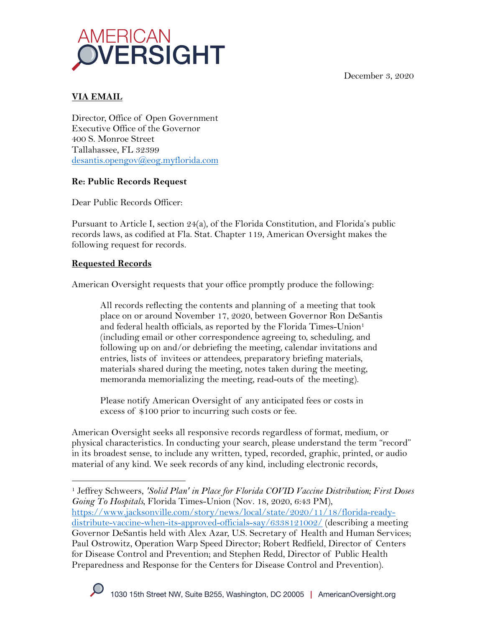December 3, 2020



## **VIA EMAIL**

Director, Office of Open Government Executive Office of the Governor 400 S. Monroe Street Tallahassee, FL 32399 desantis.opengov@eog.myflorida.com

## **Re: Public Records Request**

Dear Public Records Officer:

Pursuant to Article I, section 24(a), of the Florida Constitution, and Florida's public records laws, as codified at Fla. Stat. Chapter 119, American Oversight makes the following request for records.

## **Requested Records**

American Oversight requests that your office promptly produce the following:

All records reflecting the contents and planning of a meeting that took place on or around November 17, 2020, between Governor Ron DeSantis and federal health officials, as reported by the Florida Times-Union<sup>1</sup> (including email or other correspondence agreeing to, scheduling, and following up on and/or debriefing the meeting, calendar invitations and entries, lists of invitees or attendees, preparatory briefing materials, materials shared during the meeting, notes taken during the meeting, memoranda memorializing the meeting, read-outs of the meeting).

Please notify American Oversight of any anticipated fees or costs in excess of \$100 prior to incurring such costs or fee.

American Oversight seeks all responsive records regardless of format, medium, or physical characteristics. In conducting your search, please understand the term "record" in its broadest sense, to include any written, typed, recorded, graphic, printed, or audio material of any kind. We seek records of any kind, including electronic records,

<sup>1</sup> Jeffrey Schweers, *'Solid Plan' in Place for Florida COVID Vaccine Distribution; First Doses Going To Hospitals*, Florida Times-Union (Nov. 18, 2020, 6:43 PM), https://www.jacksonville.com/story/news/local/state/2020/11/18/florida-readydistribute-vaccine-when-its-approved-officials-say/6338121002/ (describing a meeting Governor DeSantis held with Alex Azar, U.S. Secretary of Health and Human Services; Paul Ostrowitz, Operation Warp Speed Director; Robert Redfield, Director of Centers for Disease Control and Prevention; and Stephen Redd, Director of Public Health Preparedness and Response for the Centers for Disease Control and Prevention).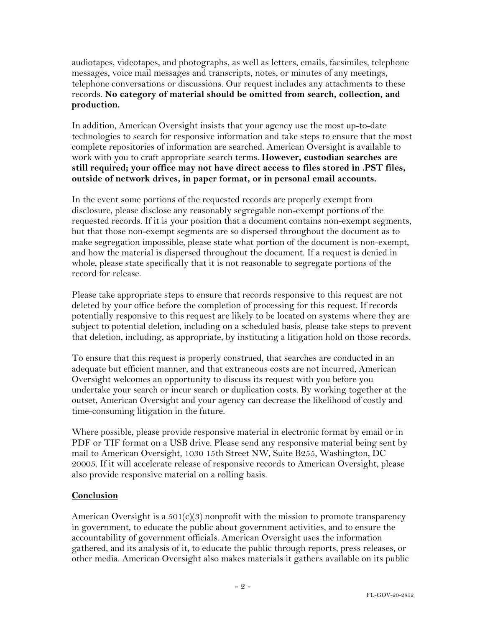audiotapes, videotapes, and photographs, as well as letters, emails, facsimiles, telephone messages, voice mail messages and transcripts, notes, or minutes of any meetings, telephone conversations or discussions. Our request includes any attachments to these records. **No category of material should be omitted from search, collection, and production.**

In addition, American Oversight insists that your agency use the most up-to-date technologies to search for responsive information and take steps to ensure that the most complete repositories of information are searched. American Oversight is available to work with you to craft appropriate search terms. **However, custodian searches are still required; your office may not have direct access to files stored in .PST files, outside of network drives, in paper format, or in personal email accounts.**

In the event some portions of the requested records are properly exempt from disclosure, please disclose any reasonably segregable non-exempt portions of the requested records. If it is your position that a document contains non-exempt segments, but that those non-exempt segments are so dispersed throughout the document as to make segregation impossible, please state what portion of the document is non-exempt, and how the material is dispersed throughout the document. If a request is denied in whole, please state specifically that it is not reasonable to segregate portions of the record for release.

Please take appropriate steps to ensure that records responsive to this request are not deleted by your office before the completion of processing for this request. If records potentially responsive to this request are likely to be located on systems where they are subject to potential deletion, including on a scheduled basis, please take steps to prevent that deletion, including, as appropriate, by instituting a litigation hold on those records.

To ensure that this request is properly construed, that searches are conducted in an adequate but efficient manner, and that extraneous costs are not incurred, American Oversight welcomes an opportunity to discuss its request with you before you undertake your search or incur search or duplication costs. By working together at the outset, American Oversight and your agency can decrease the likelihood of costly and time-consuming litigation in the future.

Where possible, please provide responsive material in electronic format by email or in PDF or TIF format on a USB drive. Please send any responsive material being sent by mail to American Oversight, 1030 15th Street NW, Suite B255, Washington, DC 20005. If it will accelerate release of responsive records to American Oversight, please also provide responsive material on a rolling basis.

## **Conclusion**

American Oversight is a  $501(c)(3)$  nonprofit with the mission to promote transparency in government, to educate the public about government activities, and to ensure the accountability of government officials. American Oversight uses the information gathered, and its analysis of it, to educate the public through reports, press releases, or other media. American Oversight also makes materials it gathers available on its public